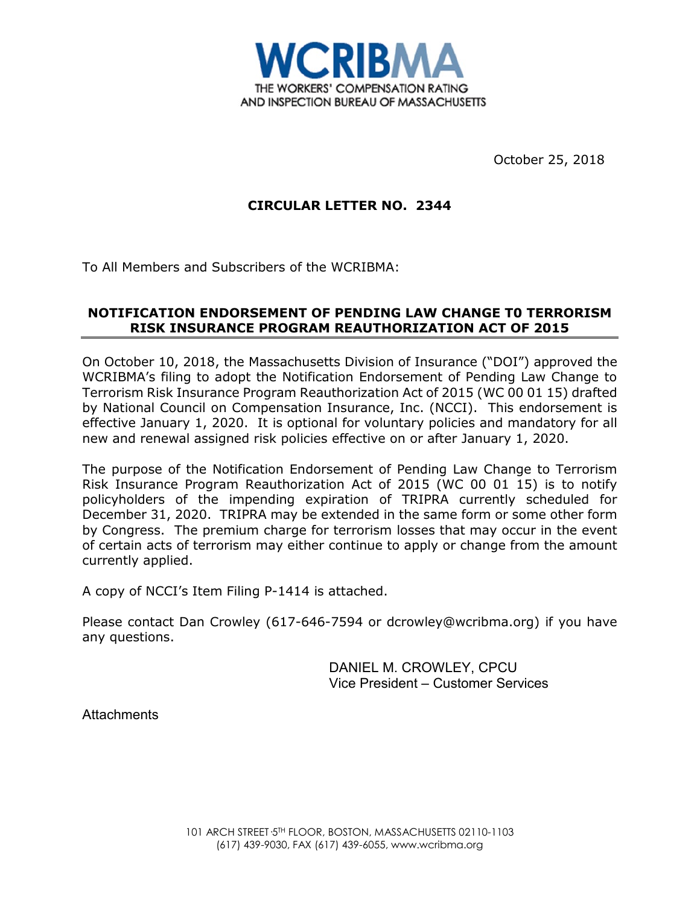

October 25, 2018

# **CIRCULAR LETTER NO. 2344**

To All Members and Subscribers of the WCRIBMA:

# **NOTIFICATION ENDORSEMENT OF PENDING LAW CHANGE T0 TERRORISM RISK INSURANCE PROGRAM REAUTHORIZATION ACT OF 2015**

On October 10, 2018, the Massachusetts Division of Insurance ("DOI") approved the WCRIBMA's filing to adopt the Notification Endorsement of Pending Law Change to Terrorism Risk Insurance Program Reauthorization Act of 2015 (WC 00 01 15) drafted by National Council on Compensation Insurance, Inc. (NCCI). This endorsement is effective January 1, 2020. It is optional for voluntary policies and mandatory for all new and renewal assigned risk policies effective on or after January 1, 2020.

The purpose of the Notification Endorsement of Pending Law Change to Terrorism Risk Insurance Program Reauthorization Act of 2015 (WC 00 01 15) is to notify policyholders of the impending expiration of TRIPRA currently scheduled for December 31, 2020. TRIPRA may be extended in the same form or some other form by Congress. The premium charge for terrorism losses that may occur in the event of certain acts of terrorism may either continue to apply or change from the amount currently applied.

A copy of NCCI's Item Filing P-1414 is attached.

Please contact Dan Crowley (617-646-7594 or dcrowley@wcribma.org) if you have any questions.

> DANIEL M. CROWLEY, CPCU Vice President – Customer Services

**Attachments**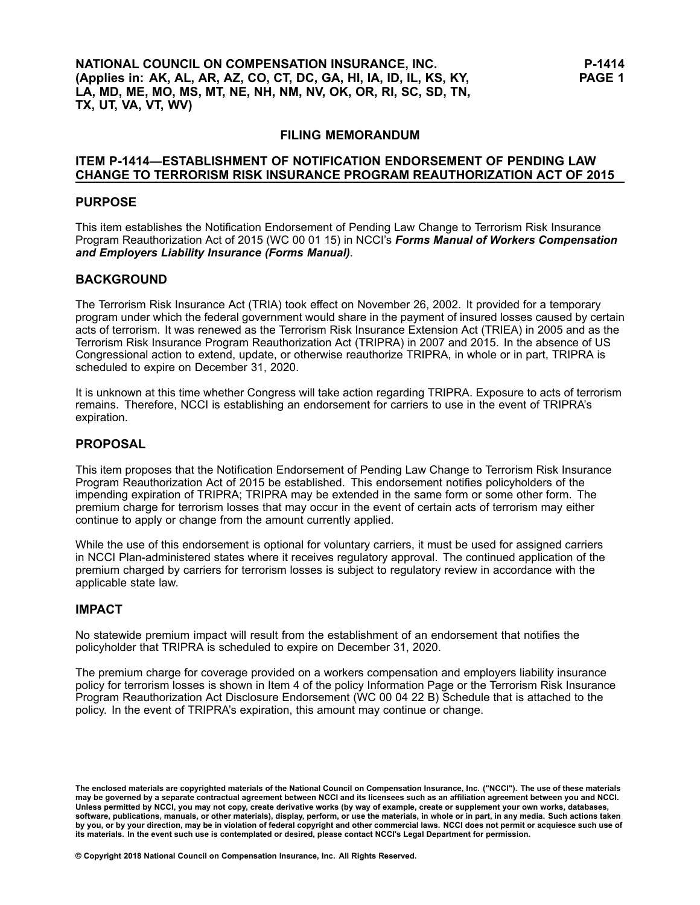# **FILING MEMORANDUM**

## **ITEM P-1414—ESTABLISHMENT OF NOTIFICATION ENDORSEMENT OF PENDING LAW CHANGE TO TERRORISM RISK INSURANCE PROGRAM REAUTHORIZATION ACT OF 2015**

#### **PURPOSE**

This item establishes the Notification Endorsement of Pending Law Change to Terrorism Risk Insurance Program Reauthorization Act of 2015 (WC 00 01 15) in NCCI's *Forms Manual of Workers Compensation and Employers Liability Insurance (Forms Manual)*.

## **BACKGROUND**

The Terrorism Risk Insurance Act (TRIA) took effect on November 26, 2002. It provided for <sup>a</sup> temporary program under which the federal government would share in the payment of insured losses caused by certain acts of terrorism. It was renewed as the Terrorism Risk Insurance Extension Act (TRIEA) in 2005 and as the Terrorism Risk Insurance Program Reauthorization Act (TRIPRA) in 2007 and 2015. In the absence of US Congressional action to extend, update, or otherwise reauthorize TRIPRA, in whole or in part, TRIPRA is scheduled to expire on December 31, 2020.

It is unknown at this time whether Congress will take action regarding TRIPRA. Exposure to acts of terrorism remains. Therefore, NCCI is establishing an endorsement for carriers to use in the event of TRIPRA's expiration.

#### **PROPOSAL**

This item proposes that the Notification Endorsement of Pending Law Change to Terrorism Risk Insurance Program Reauthorization Act of 2015 be established. This endorsement notifies policyholders of the impending expiration of TRIPRA; TRIPRA may be extended in the same form or some other form. The premium charge for terrorism losses that may occur in the event of certain acts of terrorism may either continue to apply or change from the amount currently applied.

While the use of this endorsement is optional for voluntary carriers, it must be used for assigned carriers in NCCI Plan-administered states where it receives regulatory approval. The continued application of the premium charged by carriers for terrorism losses is subject to regulatory review in accordance with the applicable state law.

#### **IMPACT**

No statewide premium impact will result from the establishment of an endorsement that notifies the policyholder that TRIPRA is scheduled to expire on December 31, 2020.

The premium charge for coverage provided on <sup>a</sup> workers compensation and employers liability insurance policy for terrorism losses is shown in Item 4 of the policy Information Page or the Terrorism Risk Insurance Program Reauthorization Act Disclosure Endorsement (WC 00 04 22 B) Schedule that is attached to the policy. In the event of TRIPRA's expiration, this amount may continue or change.

The enclosed materials are copyrighted materials of the National Council on Compensation Insurance, Inc. ("NCCI"). The use of these materials<br>may be governed by a separate contractual agreement between NCCI and its license Unless permitted by NCCI, you may not copy, create derivative works (by way of example, create or supplement your own works, databases, software, publications, manuals, or other materials), display, perform, or use the materials, in whole or in part, in any media. Such actions taken by you, or by your direction, may be in violation of federal copyright and other commercial laws. NCCI does not permit or acquiesce such use of its materials. In the event such use is contemplated or desired, please contact NCCI's Legal Department for permission.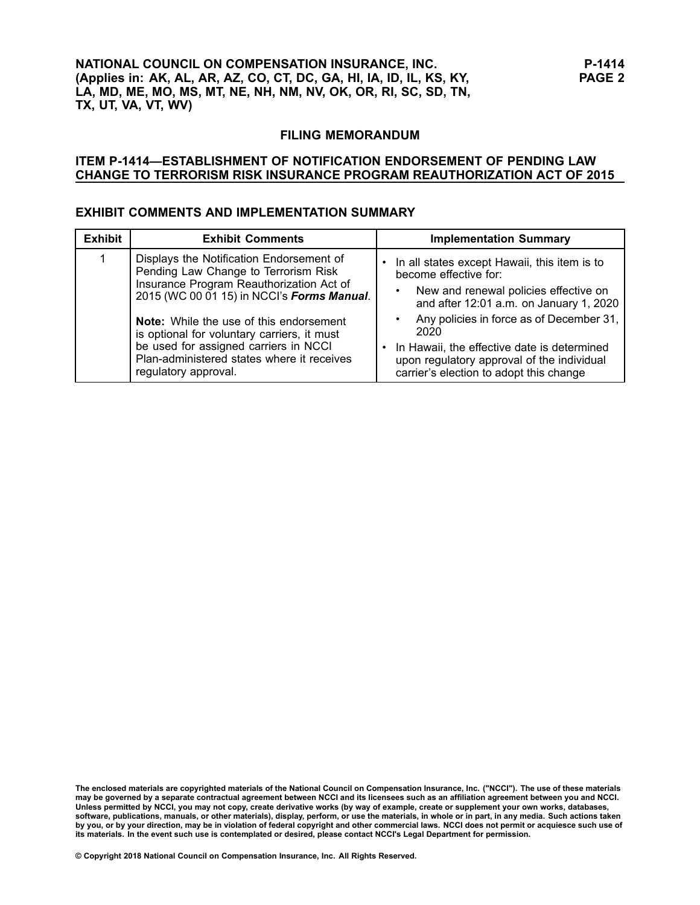#### **FILING MEMORANDUM**

### **ITEM P-1414—ESTABLISHMENT OF NOTIFICATION ENDORSEMENT OF PENDING LAW CHANGE TO TERRORISM RISK INSURANCE PROGRAM REAUTHORIZATION ACT OF 2015**

## **EXHIBIT COMMENTS AND IMPLEMENTATION SUMMARY**

| <b>Exhibit</b> | <b>Exhibit Comments</b>                                                                                                                                                                                      | <b>Implementation Summary</b>                                                                                                                                                              |
|----------------|--------------------------------------------------------------------------------------------------------------------------------------------------------------------------------------------------------------|--------------------------------------------------------------------------------------------------------------------------------------------------------------------------------------------|
|                | Displays the Notification Endorsement of<br>Pending Law Change to Terrorism Risk<br>Insurance Program Reauthorization Act of<br>2015 (WC 00 01 15) in NCCl's Forms Manual.                                   | • In all states except Hawaii, this item is to<br>become effective for:<br>New and renewal policies effective on<br>and after 12:01 a.m. on January 1, 2020                                |
|                | <b>Note:</b> While the use of this endorsement<br>is optional for voluntary carriers, it must<br>be used for assigned carriers in NCCI<br>Plan-administered states where it receives<br>regulatory approval. | Any policies in force as of December 31,<br>2020<br>• In Hawaii, the effective date is determined<br>upon regulatory approval of the individual<br>carrier's election to adopt this change |

The enclosed materials are copyrighted materials of the National Council on Compensation Insurance, Inc. ("NCCI"). The use of these materials<br>may be governed by a separate contractual agreement between NCCI and its license Unless permitted by NCCI, you may not copy, create derivative works (by way of example, create or supplement your own works, databases, software, publications, manuals, or other materials), display, perform, or use the materials, in whole or in part, in any media. Such actions taken by you, or by your direction, may be in violation of federal copyright and other commercial laws. NCCI does not permit or acquiesce such use of its materials. In the event such use is contemplated or desired, please contact NCCI's Legal Department for permission.

**© Copyright 2018 National Council on Compensation Insurance, Inc. All Rights Reserved.**